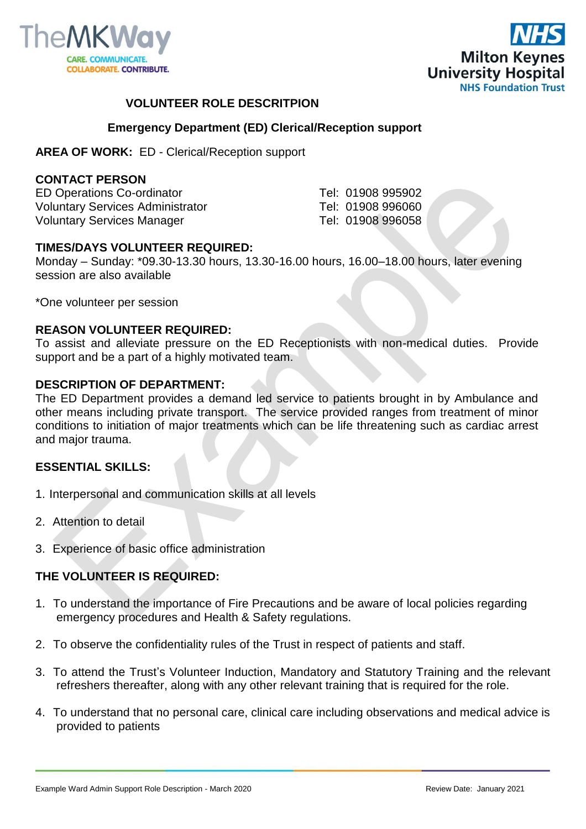



## **VOLUNTEER ROLE DESCRITPION**

### **Emergency Department (ED) Clerical/Reception support**

**AREA OF WORK:** ED - Clerical/Reception support

### **CONTACT PERSON**

ED Operations Co-ordinator Tel: 01908 995902 Voluntary Services Administrator Tel: 01908 996060 Voluntary Services Manager Tel: 01908 996058

### **TIMES/DAYS VOLUNTEER REQUIRED:**

Monday – Sunday: \*09.30-13.30 hours, 13.30-16.00 hours, 16.00–18.00 hours, later evening session are also available

\*One volunteer per session

### **REASON VOLUNTEER REQUIRED:**

To assist and alleviate pressure on the ED Receptionists with non-medical duties. Provide support and be a part of a highly motivated team.

#### **DESCRIPTION OF DEPARTMENT:**

The ED Department provides a demand led service to patients brought in by Ambulance and other means including private transport. The service provided ranges from treatment of minor conditions to initiation of major treatments which can be life threatening such as cardiac arrest and major trauma.

### **ESSENTIAL SKILLS:**

- 1. Interpersonal and communication skills at all levels
- 2. Attention to detail
- 3. Experience of basic office administration

## **THE VOLUNTEER IS REQUIRED:**

- 1. To understand the importance of Fire Precautions and be aware of local policies regarding emergency procedures and Health & Safety regulations.
- 2. To observe the confidentiality rules of the Trust in respect of patients and staff.
- 3. To attend the Trust's Volunteer Induction, Mandatory and Statutory Training and the relevant refreshers thereafter, along with any other relevant training that is required for the role.
- 4. To understand that no personal care, clinical care including observations and medical advice is provided to patients